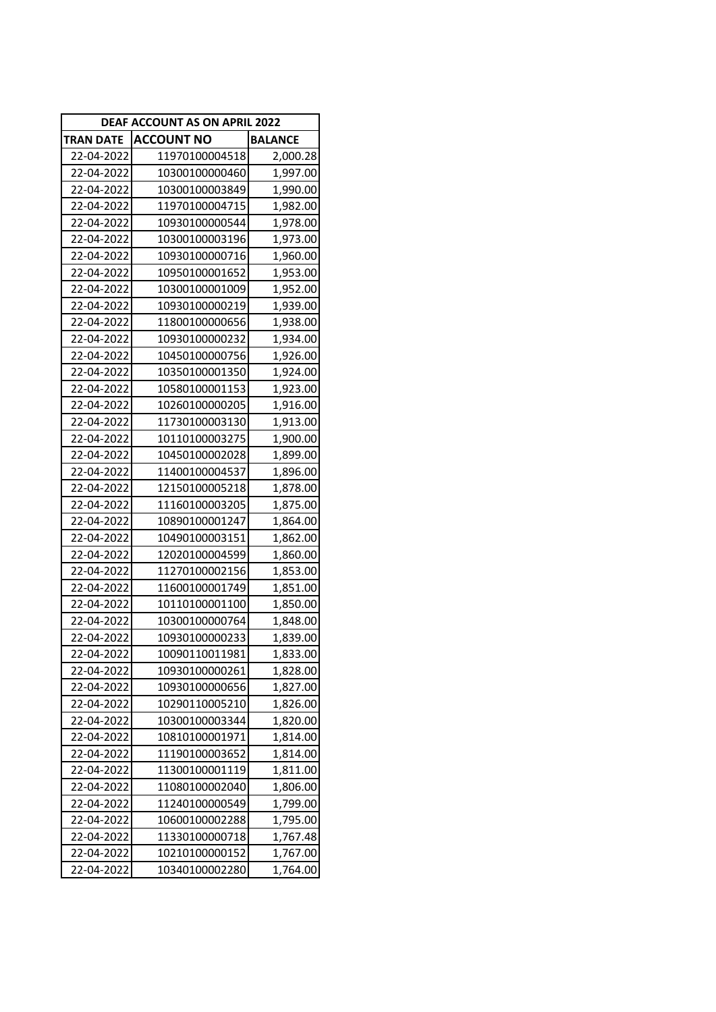| DEAF ACCOUNT AS ON APRIL 2022 |                   |                |
|-------------------------------|-------------------|----------------|
| TRAN DATE                     | <b>ACCOUNT NO</b> | <b>BALANCE</b> |
| 22-04-2022                    | 11970100004518    | 2,000.28       |
| 22-04-2022                    | 10300100000460    | 1,997.00       |
| 22-04-2022                    | 10300100003849    | 1,990.00       |
| 22-04-2022                    | 11970100004715    | 1,982.00       |
| 22-04-2022                    | 10930100000544    | 1,978.00       |
| 22-04-2022                    | 10300100003196    | 1,973.00       |
| 22-04-2022                    | 10930100000716    | 1,960.00       |
| 22-04-2022                    | 10950100001652    | 1,953.00       |
| 22-04-2022                    | 10300100001009    | 1,952.00       |
| 22-04-2022                    | 10930100000219    | 1,939.00       |
| 22-04-2022                    | 11800100000656    | 1,938.00       |
| 22-04-2022                    | 10930100000232    | 1,934.00       |
| 22-04-2022                    | 10450100000756    | 1,926.00       |
| 22-04-2022                    | 10350100001350    | 1,924.00       |
| 22-04-2022                    | 10580100001153    | 1,923.00       |
| 22-04-2022                    | 10260100000205    | 1,916.00       |
| 22-04-2022                    | 11730100003130    | 1,913.00       |
| 22-04-2022                    | 10110100003275    | 1,900.00       |
| 22-04-2022                    | 10450100002028    | 1,899.00       |
| 22-04-2022                    | 11400100004537    | 1,896.00       |
| 22-04-2022                    | 12150100005218    | 1,878.00       |
| 22-04-2022                    | 11160100003205    | 1,875.00       |
| 22-04-2022                    | 10890100001247    | 1,864.00       |
| 22-04-2022                    | 10490100003151    | 1,862.00       |
| 22-04-2022                    | 12020100004599    | 1,860.00       |
| 22-04-2022                    | 11270100002156    | 1,853.00       |
| 22-04-2022                    | 11600100001749    | 1,851.00       |
| 22-04-2022                    | 10110100001100    | 1,850.00       |
| 22-04-2022                    | 10300100000764    | 1,848.00       |
| 22-04-2022                    | 10930100000233    | 1,839.00       |
| 22-04-2022                    | 10090110011981    | 1,833.00       |
| 22-04-2022                    | 10930100000261    | 1,828.00       |
| 22-04-2022                    | 10930100000656    | 1,827.00       |
| 22-04-2022                    | 10290110005210    | 1,826.00       |
| 22-04-2022                    | 10300100003344    | 1,820.00       |
| 22-04-2022                    | 10810100001971    | 1,814.00       |
| 22-04-2022                    | 11190100003652    | 1,814.00       |
| 22-04-2022                    | 11300100001119    | 1,811.00       |
| 22-04-2022                    | 11080100002040    | 1,806.00       |
| 22-04-2022                    | 11240100000549    | 1,799.00       |
| 22-04-2022                    | 10600100002288    | 1,795.00       |
| 22-04-2022                    | 11330100000718    | 1,767.48       |
| 22-04-2022                    | 10210100000152    | 1,767.00       |
| 22-04-2022                    | 10340100002280    | 1,764.00       |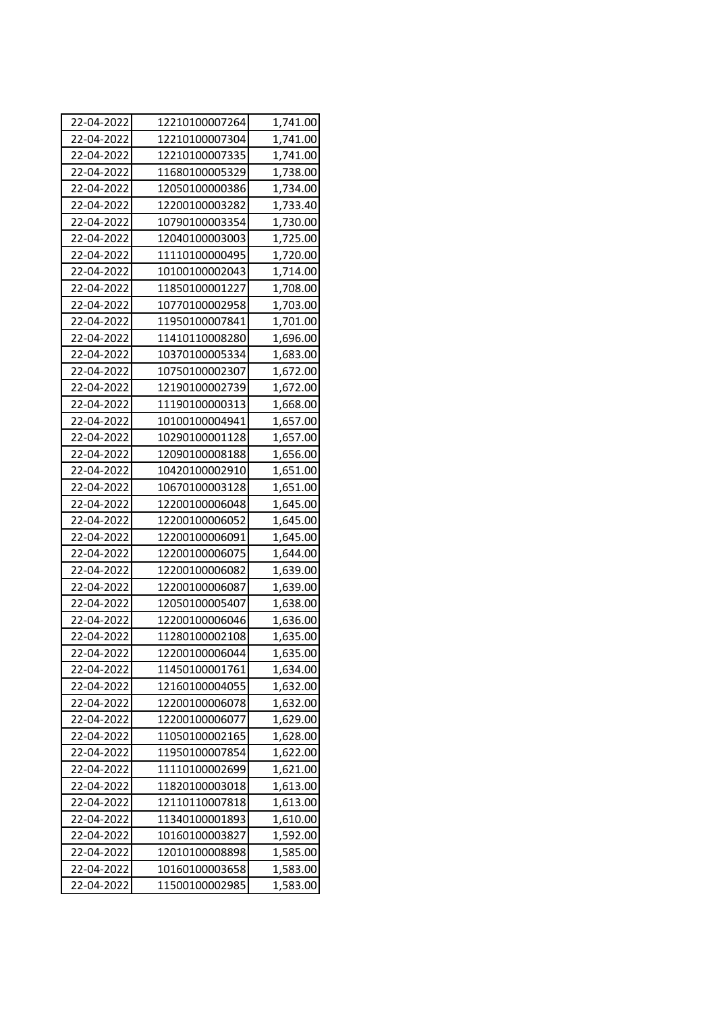| 22-04-2022 | 12210100007264 | 1,741.00 |
|------------|----------------|----------|
| 22-04-2022 | 12210100007304 | 1,741.00 |
| 22-04-2022 | 12210100007335 | 1,741.00 |
| 22-04-2022 | 11680100005329 | 1,738.00 |
| 22-04-2022 | 12050100000386 | 1,734.00 |
| 22-04-2022 | 12200100003282 | 1,733.40 |
| 22-04-2022 | 10790100003354 | 1,730.00 |
| 22-04-2022 | 12040100003003 | 1,725.00 |
| 22-04-2022 | 11110100000495 | 1,720.00 |
| 22-04-2022 | 10100100002043 | 1,714.00 |
| 22-04-2022 | 11850100001227 | 1,708.00 |
| 22-04-2022 | 10770100002958 | 1,703.00 |
| 22-04-2022 | 11950100007841 | 1,701.00 |
| 22-04-2022 | 11410110008280 | 1,696.00 |
| 22-04-2022 | 10370100005334 | 1,683.00 |
| 22-04-2022 | 10750100002307 | 1,672.00 |
| 22-04-2022 | 12190100002739 | 1,672.00 |
| 22-04-2022 | 11190100000313 | 1,668.00 |
| 22-04-2022 | 10100100004941 | 1,657.00 |
| 22-04-2022 | 10290100001128 | 1,657.00 |
| 22-04-2022 | 12090100008188 | 1,656.00 |
| 22-04-2022 | 10420100002910 | 1,651.00 |
| 22-04-2022 | 10670100003128 | 1,651.00 |
| 22-04-2022 | 12200100006048 | 1,645.00 |
| 22-04-2022 | 12200100006052 | 1,645.00 |
| 22-04-2022 | 12200100006091 | 1,645.00 |
| 22-04-2022 | 12200100006075 | 1,644.00 |
| 22-04-2022 | 12200100006082 | 1,639.00 |
| 22-04-2022 | 12200100006087 | 1,639.00 |
| 22-04-2022 | 12050100005407 | 1,638.00 |
| 22-04-2022 | 12200100006046 | 1,636.00 |
| 22-04-2022 | 11280100002108 | 1,635.00 |
| 22-04-2022 | 12200100006044 | 1,635.00 |
| 22-04-2022 | 11450100001761 | 1,634.00 |
| 22-04-2022 | 12160100004055 | 1,632.00 |
| 22-04-2022 | 12200100006078 | 1,632.00 |
| 22-04-2022 | 12200100006077 | 1,629.00 |
| 22-04-2022 | 11050100002165 | 1,628.00 |
| 22-04-2022 | 11950100007854 | 1,622.00 |
| 22-04-2022 | 11110100002699 | 1,621.00 |
| 22-04-2022 | 11820100003018 | 1,613.00 |
| 22-04-2022 | 12110110007818 | 1,613.00 |
| 22-04-2022 | 11340100001893 | 1,610.00 |
| 22-04-2022 | 10160100003827 | 1,592.00 |
| 22-04-2022 | 12010100008898 | 1,585.00 |
| 22-04-2022 | 10160100003658 | 1,583.00 |
| 22-04-2022 | 11500100002985 | 1,583.00 |
|            |                |          |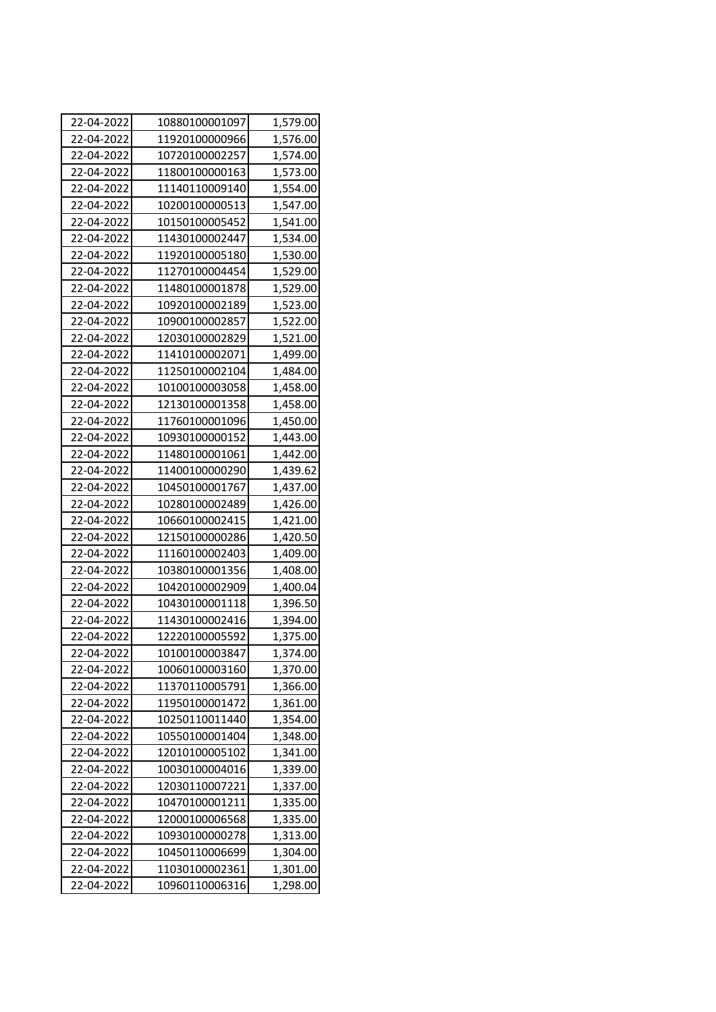| 22-04-2022 | 10880100001097 | 1,579.00 |
|------------|----------------|----------|
| 22-04-2022 | 11920100000966 | 1,576.00 |
| 22-04-2022 | 10720100002257 | 1,574.00 |
| 22-04-2022 | 11800100000163 | 1,573.00 |
| 22-04-2022 | 11140110009140 | 1,554.00 |
| 22-04-2022 | 10200100000513 | 1,547.00 |
| 22-04-2022 | 10150100005452 | 1,541.00 |
| 22-04-2022 | 11430100002447 | 1,534.00 |
| 22-04-2022 | 11920100005180 | 1,530.00 |
| 22-04-2022 | 11270100004454 | 1,529.00 |
| 22-04-2022 | 11480100001878 | 1,529.00 |
| 22-04-2022 | 10920100002189 | 1,523.00 |
| 22-04-2022 | 10900100002857 | 1,522.00 |
| 22-04-2022 | 12030100002829 | 1,521.00 |
| 22-04-2022 | 11410100002071 | 1,499.00 |
| 22-04-2022 | 11250100002104 | 1,484.00 |
| 22-04-2022 | 10100100003058 | 1,458.00 |
| 22-04-2022 | 12130100001358 | 1,458.00 |
| 22-04-2022 | 11760100001096 | 1,450.00 |
| 22-04-2022 | 10930100000152 | 1,443.00 |
| 22-04-2022 | 11480100001061 | 1,442.00 |
| 22-04-2022 | 11400100000290 | 1,439.62 |
| 22-04-2022 | 10450100001767 | 1,437.00 |
| 22-04-2022 | 10280100002489 | 1,426.00 |
| 22-04-2022 | 10660100002415 | 1,421.00 |
| 22-04-2022 | 12150100000286 | 1,420.50 |
| 22-04-2022 | 11160100002403 | 1,409.00 |
| 22-04-2022 | 10380100001356 | 1,408.00 |
| 22-04-2022 | 10420100002909 | 1,400.04 |
| 22-04-2022 | 10430100001118 | 1,396.50 |
| 22-04-2022 | 11430100002416 | 1,394.00 |
| 22-04-2022 | 12220100005592 | 1,375.00 |
| 22-04-2022 | 10100100003847 | 1,374.00 |
| 22-04-2022 | 10060100003160 | 1,370.00 |
| 22-04-2022 | 11370110005791 | 1,366.00 |
| 22-04-2022 | 11950100001472 | 1,361.00 |
| 22-04-2022 | 10250110011440 | 1,354.00 |
| 22-04-2022 | 10550100001404 | 1,348.00 |
| 22-04-2022 | 12010100005102 | 1,341.00 |
| 22-04-2022 | 10030100004016 | 1,339.00 |
| 22-04-2022 | 12030110007221 | 1,337.00 |
| 22-04-2022 | 10470100001211 | 1,335.00 |
| 22-04-2022 | 12000100006568 | 1,335.00 |
| 22-04-2022 | 10930100000278 | 1,313.00 |
| 22-04-2022 | 10450110006699 | 1,304.00 |
| 22-04-2022 | 11030100002361 | 1,301.00 |
| 22-04-2022 | 10960110006316 | 1,298.00 |